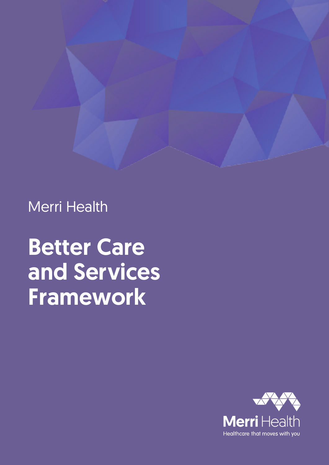

Merri Health

# Better Care and Services Framework

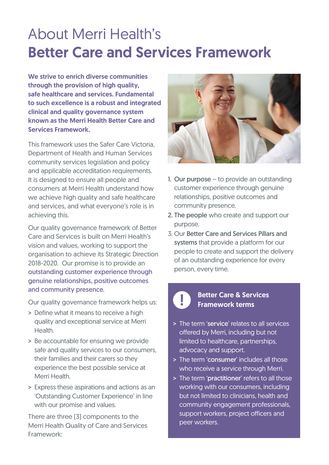# About Merri Health's Better Care and Services Framework

We strive to enrich diverse communities through the provision of high quality. safe healthcare and services. Fundamental to such excellence is a robust and integrated clinical and quality governance system known as the Merri Health Better Care and Services Framework.

This framework uses the Safer Care Victoria, Department of Health and Human Services community services legislation and policy and applicable accreditation requirements. It is designed to ensure all people and consumers at Merri Health understand how we achieve high quality and safe healthcare and services, and what everyone's role is in achieving this.

Our quality governance framework of Better Care and Services is built on Merri Health's vision and values, working to support the organisation to achieve its Strategic Direction 2018-2020. Our promise is to provide an outstanding customer experience through genuine relationships, positive outcomes and community presence.

Our quality governance framework helps us:

- > Define what it means to receive a high quality and exceptional service at Merri **Health**
- > Be accountable for ensuring we provide safe and quality services to our consumers, their families and their carers so they experience the best possible service at Merri Health.
- > Express these aspirations and actions as an 'Outstanding Customer Experience' in line with our promise and values.

There are three (3) components to the Merri Health Quality of Care and Services Framework:



- 1. Our purpose to provide an outstanding customer experience through genuine relationships, positive outcomes and community presence.
- 2. The people who create and support our purpose.
- 3. Our Better Care and Services Pillars and systems that provide a platform for our people to create and support the delivery of an outstanding experience for every person, every time.

# **Better Care & Services**<br>**B** Framework terms

- > The term 'service' relates to all services offered by Merri, including but not limited to healthcare, partnerships, advocacy and support.
- > The term 'consumer' includes all those who receive a service through Merri.
- > The term 'practitioner' refers to all those working with our consumers, including but not limited to clinicians, health and community engagement professionals, support workers, project officers and peer workers.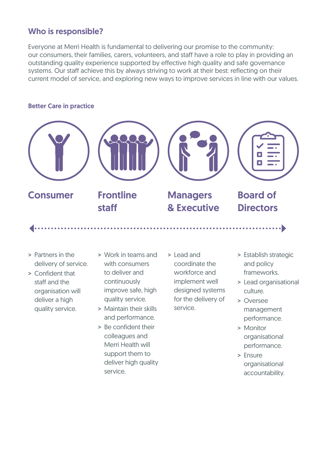### Who is responsible?

Everyone at Merri Health is fundamental to delivering our promise to the community: our consumers, their families, carers, volunteers, and staff have a role to play in providing an outstanding quality experience supported by effective high quality and safe governance systems. Our staff achieve this by always striving to work at their best: reflecting on their current model of service, and exploring new ways to improve services in line with our values.

### Better Care in practice



- > Partners in the delivery of service.
- > Confident that staff and the organisation will deliver a high quality service.
- > Work in teams and with consumers to deliver and continuously improve safe, high quality service.
- > Maintain their skills and performance.
- > Be confident their colleagues and Merri Health will support them to deliver high quality service.
- > Lead and coordinate the workforce and implement well designed systems for the delivery of service.
- > Establish strategic and policy frameworks.
- > Lead organisational culture.
- > Oversee management performance.
- > Monitor organisational performance.
- > Ensure organisational accountability.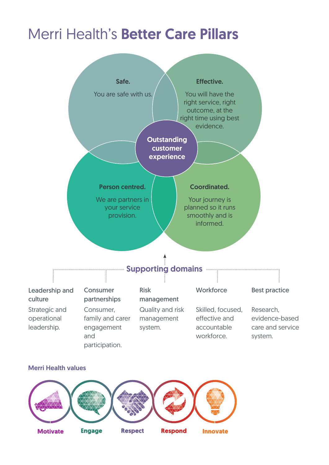## Merri Health's Better Care Pillars





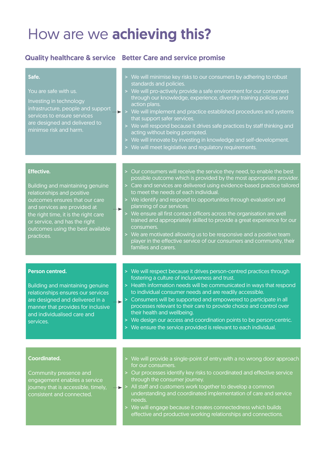### How are we achieving this?

### Quality healthcare & service Better Care and service promise

### Safe.

You are safe with us.

Investing in technology infrastructure, people and support services to ensure services are designed and delivered to minimse risk and harm.

### > We will minimise key risks to our consumers by adhering to robust standards and policies.

- > We will pro-actively provide a safe environment for our consumers through our knowledge, experience, diversity training policies and action plans.
- $\blacktriangleright$  > We will implement and practice established procedures and systems that support safer services.
	- > We will respond because it drives safe practices by staff thinking and acting without being prompted.

Our consumers will receive the service they need, to enable the best possible outcome which is provided by the most appropriate provider. Care and services are delivered using evidence-based practice tailored

> We identify and respond to opportunities through evaluation and

We ensure all first contact officers across the organisation are well trained and appropriately skilled to provide a great experience for our

We are motivated allowing us to be responsive and a positive team player in the effective service of our consumers and community, their

- > We will innovate by investing in knowledge and self-development.
- > We will meet legislative and regulatory requirements.

to meet the needs of each individual.

planning of our services.

consumers.

 $\bullet$ 

 $\bullet$ 

families and carers.

### Effective.

Building and maintaining genuine relationships and positive outcomes ensures that our care and services are provided at the right time, it is the right care or service, and has the right outcomes using the best available practices.

### Person centred.

Building and maintaining genuine relationships ensures our services are designed and delivered in a manner that provides for inclusive and individualised care and services.

- 
- > We will respect because it drives person-centred practices through fostering a culture of inclusiveness and trust.
- > Health information needs will be communicated in ways that respond to individual consumer needs and are readily accessible.
- > Consumers will be supported and empowered to participate in all processes relevant to their care to provide choice and control over their health and wellbeing.
- > We design our access and coordination points to be person-centric.
- > We ensure the service provided is relevant to each individual.

### Coordinated.

Community presence and engagement enables a service journey that is accessible, timely, consistent and connected.

- > We will provide a single-point of entry with a no wrong door approach for our consumers.
- > Our processes identify key risks to coordinated and effective service through the consumer journey.
- $\rightarrow$  > All staff and customers work together to develop a common understanding and coordinated implementation of care and service needs.
	- > We will engage because it creates connectedness which builds effective and productive working relationships and connections.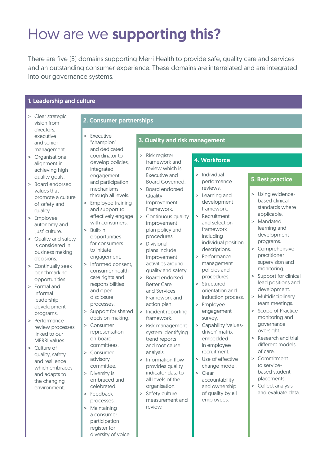# How are we supporting this?

There are five (5) domains supporting Merri Health to provide safe, quality care and services and an outstanding consumer experience. These domains are interrelated and are integrated into our governance systems.

### 1. Leadership and culture

| Clear strategic<br>vision from | 2. Consumer partnerships      |                                                        |                                          |
|--------------------------------|-------------------------------|--------------------------------------------------------|------------------------------------------|
| directors,<br>executive        | Executive<br>$\geq$           |                                                        |                                          |
| and senior                     | "champion"                    | 3. Quality and risk management                         |                                          |
| management.                    | and dedicated                 |                                                        |                                          |
| Organisational                 | coordinator to                | Risk register<br>$\geq$                                |                                          |
| alignment in                   | develop policies,             | 4. Workforce<br>framework and                          |                                          |
| achieving high                 | integrated                    | review which is                                        |                                          |
| quality goals.                 | engagement                    | Individual<br>$\geq$<br>Executive and                  |                                          |
| Board endorsed<br>$\geq$       | and participation             | performance<br>Board Governed.                         | 5. Best practice                         |
| values that                    | mechanisms                    | reviews.<br><b>Board endorsed</b>                      |                                          |
| promote a culture              | through all levels.           | > Learning and<br>Quality                              | > Using evidence-                        |
| of safety and                  | Employee training<br>$\rm{>}$ | development<br>Improvement                             | based clinical                           |
| quality.                       | and support to                | framework.<br>Framework.                               | standards where<br>applicable.           |
| Employee<br>$\geq$             | effectively engage            | Recruitment<br>> Continuous quality<br>$\geq$          | > Mandated                               |
| autonomy and                   | with consumers.               | and selection<br>improvement                           | learning and                             |
| 'just' culture.                | Built-in<br>$\geq$            | framework<br>plan policy and<br>including              | development                              |
| Quality and safety<br>$\geq$   | opportunities                 | procedures.<br>individual position                     | programs.                                |
| is considered in               | for consumers<br>to initiate  | Divisional<br>$\geq$<br>descriptions.<br>plans include | > Comprehensive                          |
| business making                | engagement.                   | Performance<br>improvement                             | practitioner                             |
| decisions.                     | Informed consent,<br>$\geq$   | management<br>activities around                        | supervision and                          |
| Continually seek<br>$\geq$     | consumer health               | policies and<br>quality and safety.                    | monitoring.                              |
| benchmarking<br>opportunities. | care rights and               | procedures.<br>Board endorsed<br>$\geq$                | Support for clinical                     |
| > Formal and                   | responsibilities              | Structured<br>$\geq$<br><b>Better Care</b>             | lead positions and                       |
| informal                       | and open                      | orientation and<br>and Services                        | development.                             |
| leadership                     | disclosure                    | induction process.<br>Framework and                    | Multidisciplinary<br>$\,$                |
| development                    | processes.                    | action plan.<br>Employee<br>$\, > \,$                  | team meetings.                           |
| programs.                      | Support for shared<br>$\geq$  | Incident reporting<br>engagement<br>$\rm{>}$           | > Scope of Practice                      |
| Performance<br>$\geq$          | decision-making.              | framework.<br>survey.                                  | monitoring and                           |
| review processes               | > Consumer                    | Capability 'values-<br>$\mathbf{I}$<br>Risk management | governance                               |
| linked to our                  | representation                | driven' matrix<br>system identifying                   | oversight.                               |
| <b>MERRI</b> values.           | on board                      | embedded<br>trend reports                              | > Research and trial<br>different models |
| Culture of<br>$\geq$           | committees.                   | in employee<br>and root cause<br>recruitment.          | of care.                                 |
| quality, safety                | > Consumer                    | analysis.<br>Use of effective<br>Information flow      | > Commitment                             |
| and resilience                 | advisory<br>committee.        | $\geq$<br>change model.<br>provides quality            | to service-                              |
| which embraces                 | > Diversity is                | indicator data to<br>Clear<br>$\geq$                   | based student                            |
| and adapts to                  | embraced and                  | all levels of the<br>accountability                    | placements.                              |
| the changing<br>environment.   | celebrated.                   | organisation.<br>and ownership                         | > Collect analysis                       |
|                                | > Feedback                    | of quality by all<br>Safety culture<br>>               | and evaluate data.                       |
|                                | processes.                    | employees.<br>measurement and                          |                                          |
|                                | > Maintaining                 | review.                                                |                                          |
|                                | a consumer                    |                                                        |                                          |
|                                | participation                 |                                                        |                                          |
|                                | register for                  |                                                        |                                          |
|                                | diversity of voice.           |                                                        |                                          |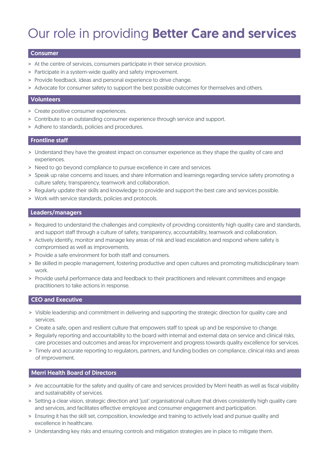### Our role in providing Better Care and services

#### Consumer

- > At the centre of services, consumers participate in their service provision.
- > Participate in a system-wide quality and safety improvement.
- > Provide feedback, ideas and personal experience to drive change.
- > Advocate for consumer safety to support the best possible outcomes for themselves and others.

#### Volunteers

- > Create positive consumer experiences.
- > Contribute to an outstanding consumer experience through service and support.
- > Adhere to standards, policies and procedures.

### Frontline staff

- > Understand they have the greatest impact on consumer experience as they shape the quality of care and experiences.
- > Need to go beyond compliance to pursue excellence in care and services.
- > Speak up raise concerns and issues, and share information and learnings regarding service safety promoting a culture safety, transparency, teamwork and collaboration.
- > Regularly update their skills and knowledge to provide and support the best care and services possible.
- > Work with service standards, policies and protocols.

### Leaders/managers

- > Required to understand the challenges and complexity of providing consistently high quality care and standards, and support staff through a culture of safety, transparency, accountability, teamwork and collaboration.
- > Actively identify, monitor and manage key areas of risk and lead escalation and respond where safety is compromised as well as improvements.
- > Provide a safe environment for both staff and consumers.
- > Be skilled in people management, fostering productive and open cultures and promoting multidisciplinary team work.
- > Provide useful performance data and feedback to their practitioners and relevant committees and engage practitioners to take actions in response.

### CEO and Executive

- > Visible leadership and commitment in delivering and supporting the strategic direction for quality care and services.
- > Create a safe, open and resilient culture that empowers staff to speak up and be responsive to change.
- > Regularly reporting and accountability to the board with internal and external data on service and clinical risks, care processes and outcomes and areas for improvement and progress towards quality excellence for services.
- > Timely and accurate reporting to regulators, partners, and funding bodies on compliance, clinical risks and areas of improvement.

### Merri Health Board of Directors

- > Are accountable for the safety and quality of care and services provided by Merri health as well as fiscal visibility and sustainability of services.
- > Setting a clear vision, strategic direction and 'just' organisational culture that drives consistently high quality care and services, and facilitates effective employee and consumer engagement and participation.
- > Ensuring it has the skill set, composition, knowledge and training to actively lead and pursue quality and excellence in healthcare.
- > Understanding key risks and ensuring controls and mitigation strategies are in place to mitigate them.